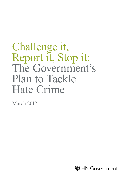# Challenge it, Report it, Stop it: The Government's Plan to Tackle Hate Crime

March 2012

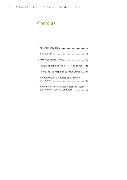### **Contents**

| 3. Increasing Reporting and Access to Support15 |
|-------------------------------------------------|
|                                                 |
| 5. Annex A: Official Sources of Evidence of     |
| 6. Annex B: Projects Funded under the Victim    |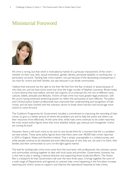### Ministerial Foreword



All crime is wrong, but that which is motivated by hatred of a particular characteristic of the victim – whether it's their race, faith, sexual orientation, gender identity, perceived disability or anything else - is particularly corrosive. Tackling hate crime matters, not just because of the devastating consequences it can have for victims and their families, but also because it can divide communities.

I believe that everyone has the right to live their life free from the fear of attack or abuse because of who they are, and we have come some way since the tragic murder of Stephen Lawrence. Britain today is more diverse than ever before, and the vast majority of us embrace this rich mix of different races, cultures, beliefs, attitudes and lifestyles. Victims of hate crime now have greater legal protection, with the courts having enhanced sentencing powers to reflect the seriousness of such offences. The police and Criminal Justice System professionals have improved their understanding and recognition of hate crimes, and we have worked with the voluntary sector to break down barriers and encourage more victims to come forward.

The Coalition's Programme for Government included a commitment to improving the recording of hate crimes, to give us a better picture of where the problems are and to help the police and others use their resources more effectively. At the same time, whilst hate crime continues to be under-reported, the most recent police figures show that more disabled, lesbian, gay, bisexual and transgender victims are coming forward.

However, there is still much more to do and no-one should think for a moment that this is a problem we have solved. Those same police figures show that there were over 48,000 hate crimes reported in 2010 in England, Wales and Northern Ireland. That is simply unacceptable in a civilised society, and while people continue to be attacked and even killed because of who they are, we owe it to them, their families and their communities to carry on the fight against hatred.

The lead for tackling hate crime must come from the local level, with professionals, the voluntary sector and communities working together to deal with local issues and priorities. Government, however, has a vital role to play in setting a national direction and supporting those locally-led efforts. This Action Plan is a blueprint for that Government role over the next three years. It brings together the work of a wide range of Departments and agencies to: prevent hate crime happening in the first place; increase reporting and victims' access to support; and improve the operational response to hate crimes.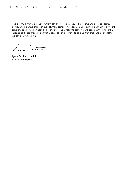There is much that we in Government can and will do to reduce hate crime and protect victims, particularly in partnership with the voluntary sector. This Action Plan makes that clear. But we will only solve this problem when each and every one of us is ready to stand up and confront the hatred that leads to particular groups being victimised. I call on everyone to take up that challenge, and together we can beat hate crime.

Lyon Litteran

Lynne Featherstone MP Minister for Equality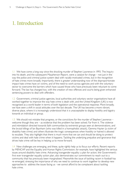## 1. Introduction

1.1 We have come a long way since the shocking murder of Stephen Lawrence in 1993. The Inquiry into his death, and the subsequent Macpherson Report, were a catalyst for change – not just in the way the police and criminal justice system deal with racially-motivated crimes, but in the recognition of hate crimes more broadly. Importantly, there is greater understanding now of the disproportionate impact hate crimes have on victims, and of the need to work across agencies and with the voluntary sector to overcome the barriers which have caused those who have previously been reluctant to come forward. The law has changed too, with the creation of new offences and courts being given enhanced sentencing powers to deal with offenders.

1.2 Government, criminal justice agencies, local authorities and voluntary sector organisations have all worked together to improve the way hate crime is dealt with, and the United Kingdom (UK) is now recognised as a world leader in terms of both legislation and the operational response. More broadly, we have seen a shift in social attitudes over the last decade. The UK has become a more vibrant, diverse place, where it is increasingly understood that it is unacceptable to display hostility and bigotry towards an individual or group.

 $1.3$  We should not mistake that progress, or the convictions for the murder of Stephen Lawrence – welcome though they are – as evidence that the problem has been solved. Far from it. The violence and intimidation directed towards faith communities by extremist groups seen at demonstrations, and the brutal killings of Ian Baynham (who was killed in a homophobic attack), Gemma Hayter (a victim of disability hate crime) and others illustrate the tragic consequences when hostility or hatred is allowed to escalate. They also highlight that there is much more that we can and should be doing to protect victims and deal with hate crime when it happens. Tackling the underlying prejudice and ignorance that drives hate crime will be key in helping us to move forward.

1.4 New challenges are emerging, and these, quite rightly help us to focus our efforts. Recent reports by MENCAP and the Equality and Human Rights Commission, for example, have highlighted the serious issues around disability hate crime. Advancing transgender equality: a plan for action, the Government's first ever transgender equality action plan, also demonstrates our commitment to reach out to a community that has previously been marginalised. Meanwhile the issue of tackling racism in football has re-emerged, stressing the importance of why we need to continue to work together to develop new approaches to address the issues facing us - we cannot afford to be complacent about tackling hate crime.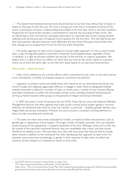1.5 This Government believes that everyone should be free to live their lives without fear of abuse or attack on the basis of who they are. All crime is wrong, but crime that is motivated by hatred of the victim is particularly corrosive. Understanding the problem is the first step, which is why the Coalition's Programme for Government includes a commitment to improve the recording of hate crimes. We are delivering on that commitment, and police information on reported hate crimes is being centrally collected and will become part of National Crime Statistics for the first time. This will help forces and their local partners allocate resources more effectively. But this Action Plan goes much further than that, setting out our programme of work for the rest of this Parliament.

1.6 Our policy approach to hate crime is based on a human rights approach. It is not, as some would claim, a sign of misguided political correctness. Protection from targeted abuse, regardless of how it manifests, is a right we all share whether we are part of the minority or majority population. We believe that it is right to focus our efforts on those who are most at risk, and to aspire to a position where we all share the same right, to live free from abuse based on our personal characteristics.

#### Hate crime – what we know

 $1.7$  Hate crime is defined as any criminal offence which is perceived, by the victim or any other person, to be motivated by a hostility or prejudice based on a personal characteristic.

1.8 Legislation to protect victims and tackle those who intend to stir up racial hatred and those who commit racially and religiously aggravated offences or engage in racist chants at designated football matches have been in place for a number of years. In recent years a number of new criminal offences have been introduced, to reflect the seriousness of hate crime, including enhanced sentencing and stirring up hatred towards other groups on the grounds of religion and sexual orientation.

1.9 In 2007, the police, Crown Prosecution Service (CPS), Prison Service (now the National Offender Management Service) and other agencies that make up the criminal justice system agreed a common definition of monitored hate crime to cover five 'strands,' in particular – disability, gender-identity, race, religion/faith and sexual orientation. Primarily, this was to ensure a consistent working definition to allow accurate recording and monitoring<sup>1</sup>. .

1.10 This does not mean that crimes motivated by hostility or hatred of other characteristics, such as gender, age or appearance cannot happen. The tragic murder of Sophie Lancaster, who was attacked simply because of her appearance, is a graphic illustration of this fact. Although crimes such as this may fall outside of the nationally monitored strands, they are nonetheless hate crimes, and they should therefore be treated as such. We have been very clear with local areas that they are free to include other strands in addition to the monitored five when developing their approach to hate crime. For example, some areas have included age or gender in their response to hate crime, to reflect the concerns of local citizens or in response to trends in local crime.

1 See ACPO [http://www.report-it.org.uk/what\\_is\\_hate\\_crime](http://www.report-it.org.uk/what_is_hate_crime) CPS http://cps.gov.uk/news/fact\_sheets/hate\_crime/index.html Hate Crime - The Cross-Government Action Plan http://webarchive.nationalarchives.gov.uk/+/http://www.homeoffice. gov.uk/documents/hate-crime-action-plan/hate-crime-action-plan2835.pdf?view=Binary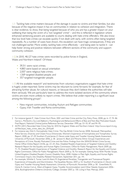1.11 Tackling hate crime matters because of the damage it causes to victims and their families, but also because of the negative impact it has on communities in relation to cohesion and integration. There is clear evidence, to show, that being targeted because of who you are has a greater impact on your wellbeing than being the victim of a 'non targeted' crime<sup>2</sup> – and this is reflected in legislation where enhanced sentencing powers are available to courts dealing with hate crime offenders. We also know that low level hate crimes can escalate quickly if not dealt with early, with victims often being targeted repeatedly. As a number of cases have shown, this escalation can have tragic consequences, if they are not challenged earlier. More widely, tackling hate crime effectively – and being seen to tackle it - can help foster strong and positive relations between different sections of the community and support community cohesion.

1.12 In 2010, 48,127 hate crimes were recorded by police forces in England, Wales and Northern Ireland<sup>3</sup>. Of these:

- 39.311 were racist crimes:
- • 4,883 were based on sexual orientation
- 2,007 were religious hate crimes;
- 1,569 targeted disabled people; and
- 357 targeted transgender people.

1.13 All the available research<sup>4</sup> and testimonies from voluntary organisations suggest that hate crime is hugely under-reported. Some victims may be reluctant to come forward, for example, for fear of attracting further abuse, for cultural reasons, or because they don't believe the authorities will take them seriously. We are particularly keen to address the more isolated sections of the community where victims are even more unlikely to report crimes. We believe that under-reporting is a significant issue among the following groups $5$ : :

- New migrant communities, including Asylum and Refugee communities;
- • Gypsy, Irish Traveller and Roma communities;

<sup>2</sup> For instance Iganski P, Hate Crimes Hurt More, 2001 and Hate Crime and the City, Policy Press, 2008, pp. 6–17, 74–86 Garcia L, McDevitt J, Gu J and Balboni J, Psychological and Behavioural Effects of Bias and Non-Bias Motivated Assault, Final Report, National Criminal Justice Reference Service, December 1999, pp. 53–55, 87 and 94–95.

<sup>3</sup> ACPO (2011) Recorded Hate Crime Data for 2010 for England, Wales and Northern Ireland [http://www.report-it.org.](http://www.report-it.org.uk/files/acpo_hate_crime_data_for_2010.pdf) [uk/files/acpo\\_hate\\_crime\\_data\\_for\\_2010.pdf](http://www.report-it.org.uk/files/acpo_hate_crime_data_for_2010.pdf)

<sup>4</sup> For instance see, Dick S, Homophobic Hate Crime: The Gay British Crime Survey 2008, Stonewall. Metropolitan Police Service, Diversity and Citizen Focus Directorate, Women's Experience of Homophobia and Transphobia: Survey Report, 2008, pp. 27–29. Southern R and James Z, Devon-wide Gypsy and Traveller Housing Needs Assessment, University of Plymouth, November 2006, p. 58. Jansson K, Black and Minority Ethnic Groups' Experiences and Perceptions of Crime, Racially Motivated Crime and the Police: Findings from the 2004/05 British Crime Survey, Home Office Online Report 25/06, pp. 23–24. Also, Disabled People's Experiences of Targeted Violence and Hostility: Research Report for the Equality and Human Rights Commission, Office for Public Management, March 2009, pp. 71–75. Disabled People's Experiences of Targeted Violence and Hostility: Research Report for the Equality and Human Rights Commission, Office for Public Management, March 2009, p. 76. For example, Getting Away With Murder, Scope, United Kingdom Disabled People's Council, Disability Now, 2008. Hidden in Plain Sight, Equality and Human Rights Commission Inquiry into Disability-Related Harassment, September 2011, pp. 141.

<sup>5</sup> For example, Whittle S, Turner Land Al-Alami M, Engendered Penalities: Transgender and Transsexual People's Experiences of Inequality and Discrimination, The Equalities Review, 2007, p. 53. Southern R and James Z, Devon-wide Gypsy and Traveller Housing Needs Assessment, University of Plymouth, November 2006, p. 58. Greenfields M, Home R, Cemlyn S et al., West of England; Gypsy Traveller Accommodation (and Other Needs) Assessment 2006– 2016, Buckinghamshire Chilterns University College, October 2007, p. 130. Living in Fear, Mencap, 2000.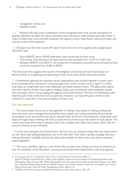- Transgender victims; and
- Disabled victims.

1.14 Research also tell us that combinations of the recognised hate crime strands and aspects of people's identities can affect the nature, prevalence and reactions to hate incidents and hate crimes. In order to tackle hate crime and both empower and support victims, these factors need to be taken into account as part of the response<sup>6</sup>. .

1.15 We also know from the recent CPS report Hate crime and crimes against older people report 2010-20117 that:

- Since 2006/07, almost 69,000 defendants were prosecuted for hate crime;
- The number of prosecutions for hate crime has also increased from 12,535 to 15,284; and
- Between 2006/07 and 20010/11, the proportion of successful convictions across all types of hate crime has increased from 76.8% to 82.8%.

This trend over time suggests that aspects of investigation and prosecution are improving as we become better at recognising and responding to hate crime across all the monitored strands.

1.16 Government agencies and voluntary sector organisations have worked together in recent years to try and break down the barriers and encourage more victims of hate crime to report it, so that local areas can target their work more effectively and better protect victims. The latest police figures show that reports of hate crimes against disabled, lesbian, gay and bisexual and transgender people have increased, which is encouraging and suggests some improvement. The focus on addressing underreporting will remain at the heart of our approach. However, our long term goal is clearly to see evidence of a reduction in the actual incidence of hate crime.

### Our new approach

1.17 The Government has set out a new approach to cutting crime, based on freeing professionals from top-down micro-management and performance targets, and making the police democratically accountable to the communities they serve. Elected Police and Crime Commissioners, street-level crime maps and regular beat meetings will all focus police forces on the issues that matter to local people. This means local areas will be free to develop hate crime strategies that reflect local needs, rather than the concerns of those across Whitehall.

1.18 In that new landscape, the Government's role is to focus on doing the things that only Government can do, rather than telling professionals how to do their jobs. That means: setting a strategic direction; making information available; sharing new ideas and examples of what works; and, where necessary, passing legislation.

1.19 The time is therefore right for a new Action Plan on hate crime, setting out what we intend to do over the remainder of this Parliament, working across Government departments, with local agencies

<sup>6</sup> For example, Dick S, Homophobic Hate Crime: The Gay British Crime Survey 2008, p. 7. Iganski P, Kielinger Vand Paterson S, Hate Crimes Against London's Jews: An Analysis of Incidents Recorded by the Metropolitan Police Service 2001–2004, Metropolitan Police Service and Institute for Jewish Policy Research, July 2005, pp. 3. Disabled People's Experiences of Targeted Violence and Hostility: Research Report for the Equality and Human Rights Commission, Office for Public Management, March 2009, p. 33.

<sup>7</sup> Available at:[http://www.cps.gov.uk/publications/docs/cps\\_hate\\_crime\\_report\\_2011.pdf](http://www.cps.gov.uk/publications/docs/cps_hate_crime_report_2011.pdf)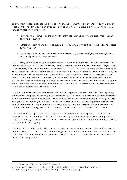and voluntary sector organisations, and also with the Government's Independent Advisory Group on Hate Crime. The Plan is based on three core principles, which we believe are necessary to reach our long-term goal. We will focus on:

- Preventing hate crime by challenging the attitudes that underpin it, and early intervention to prevent it escalating;
- Increasing reporting and access to support by building victim confidence and supporting local partnerships; and
- Improving the operational response to hate crimes by better identifying and managing cases, and dealing effectively with offenders.

1.20 Many of the issues dealt with in this Action Plan are devolved to the Welsh Government. These include Health and Social Care, Education, Local Government and the work of Voluntary Organisations. To these ends, in its Programme for Government 2011-2016<sup>8</sup>, the Welsh Government has published its commitment to tackle hate crime and this is being taken forward by a Framework for Action, led by the Welsh Minister for Finance and the Leader of the House<sup>9</sup>. It has also published 'Travelling to a Better Future' Gypsy and Traveller Framework for Action and Delivery Plan, which includes work to raise awareness of hate crime and improve engagement within Gypsy and Traveller communities<sup>10</sup>. To ensure the full delivery of the Action Plan, we will work with the Welsh Government on the areas contained within the document that are not devolved.

1.21 We also believe that the hard lessons the United Kingdom has learnt – and is still learning - since the murder of Stephen Lawrence give us a responsibility to share our experience with other countries. We will therefore continue to push for action on hate crime at the international level, through a range of organisations, including the United Nations, the European Union and the Organisation for Security and Co-operation in Europe. International bodies such as these also present us with avenues to find solutions to some of the global challenges we now face in tackling hate crime over the internet.

1.22 The following chapters set out the key actions that will support those principles over the next three years. This programme of work will be overseen by the Inter-Ministerial Group on Equalities, which is chaired by the Home Secretary and delivered through the Hate Crime Strategy Board, a crossdepartmental officials group.

1.23 We will review this Action Plan annually in order to assess progress on the delivery of the actions and to allow us to respond to new and emerging issues. We will also continue to work closely with the Government's Independent Advisory Group on Hate Crime, which includes victims of hate crime and voluntary sector partners.

<sup>8</sup> http://wales.gov.uk/docs/strategies/110929fullen.pdf9

<sup>9</sup> For example, the draft equality objective http://wales.gov.uk/topics/equality/equalityactatwork/?lang=en

<sup>10</sup> http://wales.gov.uk/docs/dsjlg/publications/equality/110928gypsytravelleren.pdf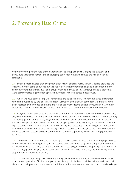# 2. Preventing Hate Crime

We will work to prevent hate crime happening in the first place by challenging the attitudes and behaviours that foster hatred, and encouraging early intervention to reduce the risk of incidents escalating.

2.1 Britain is more diverse than ever, with a rich mix of different races, cultures, beliefs, attitudes and lifestyles. In most parts of our society, this has led to greater understanding and a celebration of the different contributions individuals and groups make to our way of life. Stereotypes and bigotry that were commonplace a generation ago are now widely rejected across most groups.

2.2 Whilst we have come a long way, hatred and prejudice still exist. The recent figures of reported hate crime published by the police are a clear illustration of this fact. In some cases, old targets have been replaced by new ones, and there are still far too many victims of hate crime, many of whom are either too afraid to come forward, or have no faith that the authorities will take them seriously.

2.3 Everyone should be free to live their lives without fear of abuse or attack on the basis of who they are, what they believe or how they look. There are five 'strands' of hate crime that we monitor centrally – disability, gender-identity, race, religion or belief (or non-belief) and sexual orientation. However, the principle applies more widely – hate based on age, gender, or appearance, for example, should be equally condemned. It is vital that professionals dealing with cases apply the learning from monitored hate crime, when such problems exist locally. Suitable responses will recognise the need to reduce the risk of escalation, reassure broader communities, as well as supporting victims and bringing offenders to justice.

2.4 The Government is committed to reducing the harm caused by hate crime. Encouraging victims to come forward, and ensuring that agencies respond effectively when they do, are important elements of that effort. But in the long-term, the solution lies in stopping hate crimes happening in the first place - by challenging and changing the attitudes and behaviours that lead to hatred, and intervening early to stop tensions or incidents escalating.

2.5 A lack of understanding, reinforcement of negative stereotypes and fear of the unknown can all contribute to prejudice. Children and young people in particular learn their behaviours and form their views from their peers and the adults around them. In that context, we need to stand up and challenge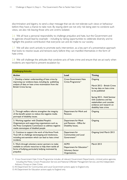discrimination and bigotry, to send a clear message that we do not tolerate such views or behaviour before they have a chance to take root. By staying silent we not only risk being seen to condone such views, we also risk leaving those who are victims isolated.

2.6 We all have a personal responsibility to challenge prejudice and hate, but the Government and its agencies should lead by example – including by taking opportunities to celebrate diversity and to highlight the positive contribution that everyone can and do make to our society.

2.7 We will also work actively to promote early intervention, as a key part of a preventative approach that looks to resolve issues and tensions early before they can manifest themselves in the form of hate crime.

2.8 We will challenge the attitudes that condone acts of hate crime and ensure that we act early when incidents are reported to prevent escalation by:

| <b>Challenging Attitudes</b>                                                                                                                                                                       |                                                                                                    |                                                                                                                                                                                                                                 |  |
|----------------------------------------------------------------------------------------------------------------------------------------------------------------------------------------------------|----------------------------------------------------------------------------------------------------|---------------------------------------------------------------------------------------------------------------------------------------------------------------------------------------------------------------------------------|--|
| <b>Action</b>                                                                                                                                                                                      | Lead                                                                                               | <b>Timing</b>                                                                                                                                                                                                                   |  |
| I. Develop a better understanding of hate crime by<br>improving our evidence base, including by publishing<br>analysis of data on hate crime victimisation from the<br><b>British Crime Survey</b> | <b>Cross-Government Hate</b><br>Crime Programme <sup>11</sup>                                      | Ongoing<br>March 2012 - British Crime<br>Survey data on hate crime<br>to be published<br>Spring 2012 - Hold Seminar<br>with academics and key<br>stakeholders and consider<br>evidence and research on<br>disability hate crime |  |
| 2. Through welfare reforms strengthen the integrity<br>of the benefit system to reduce the negative media<br>portrayal of disability issues.                                                       | Department for Work and<br>Pensions                                                                | Ongoing                                                                                                                                                                                                                         |  |
| 3. Working together with Disabled People's<br>Organisations and supporting organisations such as,<br>the Press Complaints Commission to address negative<br>media stereotypes of disabled people   | Department for Work<br>and Pensions - Office for<br>Disability Issues,                             | Ongoing                                                                                                                                                                                                                         |  |
| 4. Continue to support the work of the Anne Frank<br>Trust UK to challenge stereotyping and intolerance,<br>including anti-semitism which can lead to hate crime/<br>incidents                     | Department for<br><b>Communities and Local</b><br>Government <sup>12</sup>                         | <b>Ongoing Until March 2013</b>                                                                                                                                                                                                 |  |
| 5. Work through voluntary sector partners to make<br>available to schools resources to help them tackle all<br>forms of bullying, particularly bullying motivated by<br>prejudice                  | <b>ACPO</b><br>Department for Education <sup>13</sup><br><b>Voluntary Sector</b><br>Organisations, | <b>March 2013</b>                                                                                                                                                                                                               |  |

<sup>11</sup> Cross-Government Hate Crime Programme includes: all relevant Government Departments, criminal justice agencies, including the Police, Crown Prosecution Service and National Offender Management Service, and the Independent Advisory Group on Hate Crime.

- 12 All Department for Communities and Local Government actions apply to England only.
- 13 All Department for Education actions apply to England only.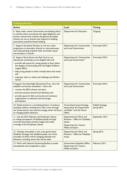| <b>Challenging Attitudes</b>                                                                                                                                                                                                                                                                                                                                       |                                                                                                                            |                                        |
|--------------------------------------------------------------------------------------------------------------------------------------------------------------------------------------------------------------------------------------------------------------------------------------------------------------------------------------------------------------------|----------------------------------------------------------------------------------------------------------------------------|----------------------------------------|
| <b>Action</b>                                                                                                                                                                                                                                                                                                                                                      | Lead                                                                                                                       | <b>Timing</b>                          |
| 6. Keep under review Government anti-bullying advice<br>to schools which summarises the legal obligations and<br>powers schools have; outlines the general principles<br>schools can use to prevent and respond to bullying,<br>particularly prejudiced based bullying                                                                                             | Department for Education                                                                                                   | Ongoing                                |
| 7. Support the Jewish Museum to roll out a pilot<br>programme to secondary schools to raise awareness<br>and understanding of Jewish Faith and tackle 'casual'<br>anti-semitism in schools.                                                                                                                                                                        | <b>Department for Communities</b><br>and Local Government                                                                  | From April 2012                        |
| 8. Support Show Racism the Red Card to run<br>educational workshops across England that will:<br>• provide safe spaces for young people to learn about<br>the dangers of associating with the English Defence<br>League (EDL);<br>• help young people to think critically about the issues;<br>and<br>• empower them to refute and challenge anti-Muslim<br>hatred | Department for Communities<br>and Local Government <sup>14</sup>                                                           | From April 2012                        |
| 9. Support the Searchlight Educational Trust who will<br>establish community newsletters which will:<br>• counter the EDL's divisive narrative;<br>• promote positive shared local identities; and<br>• provide space for faith, community and voluntary<br>organisations to advertise and encourage<br>participation                                              | Department for Communities<br>and Local Government                                                                         | From April 2012                        |
| 10. Tackle alcohol as a contributing factor of violence,<br>including violence resulting from hate crime, through<br>the Government's new alcohol strategy, which will focus<br>on changing public behaviour                                                                                                                                                       | <b>Cross-Government Strategy</b><br>being led by the Department<br>of Health <sup>14</sup> and the Home<br>Office          | <b>Publish Strategy</b><br>Spring 2012 |
| 11. Use the 2012 Olympic and Paralympic Games<br>to change perceptions of disabled people through<br>increased awareness, positive images and media<br>coverage of the Paralympic Games                                                                                                                                                                            | Department for Work and<br>Pensions - Office for Disability<br>Issues,<br><b>Department for Culture</b><br>Media and Sport | September 2012                         |
| 12. Develop and publish a new cross government<br>Disability Strategy with disabled people, one of the<br>principles of which will be changing attitudes and<br>behaviour, including action that will be taken                                                                                                                                                     | Department for Work and<br>Pensions - Office for Disability<br><b>Issues</b>                                               | Spring 2012                            |
| 13. Work with National Governing Bodies to tackle<br>homophobia and transphobia in sport                                                                                                                                                                                                                                                                           | Government Equalities Office,<br>Department for Culture<br>Media and Sport                                                 | February 2013                          |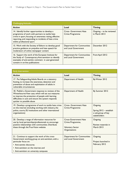| <b>Challenging Attitudes</b>                                                                                                                                                                                                                       |                                                    |                                             |  |
|----------------------------------------------------------------------------------------------------------------------------------------------------------------------------------------------------------------------------------------------------|----------------------------------------------------|---------------------------------------------|--|
| <b>Action</b>                                                                                                                                                                                                                                      | Lead                                               | <b>Timing</b>                               |  |
| 14. Identify further opportunities to develop a<br>programme of work with partners to tackle hate<br>crime in sport, focusing on awareness raising, effective<br>reporting, and responding to incidents of hate crime<br>within professional sport | <b>Cross- Government Hate</b><br>Crime Programme   | Ongoing $-$ to be reviewed<br>in March 2013 |  |
| 15. Work with the Society of Editors to develop good<br>practice guidance on prejudice and hate speech for<br>moderators of online newspaper content                                                                                               | Department for Communities<br>and Local Government | December 2012                               |  |
| 16. Support the work of the European Institute for<br>the Study of Contemporary Anti-semitism to identify<br>examples of anti-semitic comment in user-generated<br>content in on-line publications                                                 | Department for Communities<br>and Local Government | From April 2012                             |  |

| Early Intervention                                                                                                                                                                                                                                  |                                                                                              |                                                                          |
|-----------------------------------------------------------------------------------------------------------------------------------------------------------------------------------------------------------------------------------------------------|----------------------------------------------------------------------------------------------|--------------------------------------------------------------------------|
| <b>Action</b>                                                                                                                                                                                                                                       | Lead                                                                                         | <b>Timing</b>                                                            |
| 17. Put Safeguarding Adults Boards on a statutory<br>footing, to increase the awareness, detection and<br>prevention of abuse and exploitation of adults in<br>vulnerable circumstances                                                             | Department of Health                                                                         | By Winter 2012                                                           |
| 18. Publish a Government response to reviews of the<br>Winterbourne View case, which will set out measures<br>to improve the protection of people with learning<br>difficulties in care and ensure the system responds<br>quicker to possible abuse | Department of Health                                                                         | By Summer 2012                                                           |
| 19. Develop a programme of work to tackle hate crime<br>on the internet (including working with industry, the<br>police, courts, EU institutions and other international<br>organisations)                                                          | <b>Cross- Government Hate</b><br>Crime Programme                                             | Ongoing<br>Spring 2012 - establish<br>a sub-group of key<br>stakeholders |
| 20. Develop a range of information resources for<br>use by local partnerships/professionals to encourage<br>positive relationships with communities. Distribute<br>these through the True Vision website                                            | <b>Cross-Government Hate</b><br>Crime Programme,<br><b>Voluntary Sector</b><br>Organisations | Ongoing<br>Review materials in<br><b>March 2013</b>                      |
| 21. Continue to support the work of the cross-<br>Government working group on anti-semitism, with a<br>particular focus on:<br>• Anti-semitic discourse;<br>• Anti-semitism on the internet; and<br>• Anti-semitism on university campuses          | <b>Department for Communities</b><br>and Local Government                                    | Ongoing<br>Project launched in<br>February 2012                          |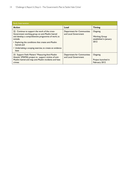| <b>Early Intervention</b>                                                                                                                                                                                                                                                                                 |                                                    |                                                                   |
|-----------------------------------------------------------------------------------------------------------------------------------------------------------------------------------------------------------------------------------------------------------------------------------------------------------|----------------------------------------------------|-------------------------------------------------------------------|
| <b>Action</b>                                                                                                                                                                                                                                                                                             | Lead                                               | <b>Timing</b>                                                     |
| 22. Continue to support the work of the cross-<br>Government working group on anti-Muslim hatred<br>and develop a comprehensive programme of work, to<br>include:<br>• Exploring the conditions that create anti-Muslim<br>hatred; and<br>• Undertaking a scoping exercise, to create an evidence<br>base | Department for Communities<br>and Local Government | Ongoing<br><b>Working Group</b><br>established in January<br>2012 |
| 23. Support Faith Matters' 'Measuring Anti-Muslim<br>Attacks' (MAMA) project to support victims of anti-<br>Muslim hatred and map anti-Muslim incidents and hate<br>crimes                                                                                                                                | Department for Communities<br>and Local Government | Ongoing<br>Project launched in<br>February 2012                   |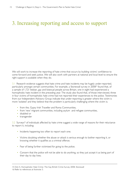## 3. Increasing reporting and access to support

We will work to increase the reporting of hate crime that occurs by building victims' confidence to come forward and seek justice. We will also work with partners at national and local level to ensure the right support is available when they do.

3.1 Research evidence suggests that hate crime and hate incidents may be hugely under-reported, particularly amongst certain communities. For example, a Stonewall survey in 2008<sup>15</sup> found that, of a sample of 1,721 lesbian, gay and bisexual people across Britain, one in eight had experienced a homophobic hate incident in the preceding year. The study also found that, of those interviewed, three in four victims of homophobic hate crime had not reported their experiences to the police. Testimonies from our Independent Advisory Group indicate that under-reporting is greater where the victim is more 'isolated' and they believe that the problem is particularly challenging where the victim is;

- from the, Gypsy Irish Traveller and Roma Communities,
- from 'new' migrant communities, including asylum and refugee communities,
- disabled or
- transgender

3.2 Surveys<sup>16</sup> of individuals affected by hate crime suggest a wide range of reasons for their reluctance to report it, including:

- Incidents happening too often to report each one;
- Victims doubting whether the abuse or attack is serious enough to bother reporting it, or knowing whether it qualifies as a criminal offence;
- Fear of being further victimised for going to the police;
- Concern that the police will not be able to do anything, so they just accept it as being part of their day to day lives;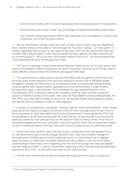- Concern that the police will not do anything because they are prejudiced and/or unsympathetic;
- Victims fear that they will be "outed" (e.g. as being gay or having mental health needs); and/or
- Lack of access making reporting too difficult (e.g. interpreters are not available or a person using a wheelchair can't access the police station).

3.3 We are committed to making it easier for victims of hate crime to report what has happened to them, whether directly to the police or online through the True Vision website – or if they prefer - to another organisation that can pass on the report to the police. We must also ensure that victims are confident that if they do report a hate crime, the police and other agencies will take it seriously and do something about it. This is true even if the incident appears to be trivial – we cannot prevent hate crime happening if the early warning signs stay hidden.

3.4 This focus on reporting is driven by the need to develop a better picture of the scale, severity and causes of the problem. Without that picture, we cannot ensure that resources are in the right place to tackle offenders, and give victims the protection and support they need.

3.5 This Government has made localism a priority. We believe that the agencies which protect and serve the public should respond to their particular needs and concerns, not to Whitehall targets. Strategies for dealing with hate crime must be developed locally, by professionals and partnerships working together with voluntary sector organisations and victims themselves, in order to tackle the issues that matter in that local area. From November this year, elected Police and Crime Commissioners (PCCs) will have a democratic mandate to hold the police and their partners to account on behalf of victims and the public. And under the Police Reform and Social Responsibility Act 2011, PCCs must hold chief constables' to account for the exercise of their duties relating to equality and diversity that are imposed on them by other legislation.

3.6 In January, we published our consultation "Getting it right for victims and witnesses<sup>17</sup>, which includes proposals for the majority of support services for victims of crime, including victims of hate crime, to be commissioned at a local level rather than by central Government. It also proposes that PCCs will be best placed to be the local commissioners of victims' services, by ensuring that local priorities and needs are catered for, with particular focus on the needs of victims of serious crimes, those who are persistently targeted and the most vulnerable. Local commissioners would have an expectation placed on them to assess the needs of the local community and put in place services to meet these needs.

3.7 Government does, however, have a key role to play in making that more local approach work. It is the Government's job to set the strategic direction, with a clear and consistent message on the importance of tackling hate crime and protecting victims. It is Government's job to: legislate where necessary; to make more and better national-level data available, so that we have a better understanding of where hate crime is happening and why; and to encourage new ideas and highlight examples of good practice – in terms of prevention, supporting victims, and improving the operational response to hate crime – so that other local areas can see what's working.

3.8 We will work with local partnerships to increase reporting and victims' access to support by: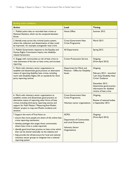| <b>Building victim confidence</b>                                                                                                                                                                                                                                                                                                                                                                                                                                                  |                                                                                                         |                                                                                                                                                                                             |  |
|------------------------------------------------------------------------------------------------------------------------------------------------------------------------------------------------------------------------------------------------------------------------------------------------------------------------------------------------------------------------------------------------------------------------------------------------------------------------------------|---------------------------------------------------------------------------------------------------------|---------------------------------------------------------------------------------------------------------------------------------------------------------------------------------------------|--|
| <b>Action</b>                                                                                                                                                                                                                                                                                                                                                                                                                                                                      | Lead                                                                                                    | <b>Timing</b>                                                                                                                                                                               |  |
| 1. Publish police data on recorded hate crimes as<br>National Statistics, which can be compared between<br>forces                                                                                                                                                                                                                                                                                                                                                                  | Home Office                                                                                             | Summer 2012                                                                                                                                                                                 |  |
| 2. Identify areas across the criminal justice system,<br>where the collection and dissemination of data could<br>be improved, for example, transgender hate crime                                                                                                                                                                                                                                                                                                                  | <b>Cross-Government Hate</b><br>Crime Programme                                                         | <b>March 2013</b>                                                                                                                                                                           |  |
| 3. Publish Government response to the Equality and<br>Human Rights Commission Inquiry into disability-<br>related harassment                                                                                                                                                                                                                                                                                                                                                       | All Departments                                                                                         | Spring 2012                                                                                                                                                                                 |  |
| 4. Engage with communities at risk of hate crime to<br>raise awareness of the law on hate crime, and increase<br>reporting                                                                                                                                                                                                                                                                                                                                                         | <b>Crown Prosecution Service</b>                                                                        | Ongoing<br>(From April 2012)                                                                                                                                                                |  |
| 5. Work with voluntary sector organisations to<br>establish and disseminate good practice on alternative<br>means of reporting disability hate crimes, including<br>work with Disability Rights UK on standards for third<br>party reporting centres                                                                                                                                                                                                                               | Department for Work and<br>Pensions - Office for Disability<br><b>Issues</b>                            | Ongoing<br>February 2012 - launched<br>'Let's Stop Disability Hate<br>Crime' Guidance'<br>December 2012 -<br>disseminate good practice<br>information for disabled<br>victims of hate crime |  |
| 6. Work with voluntary sector organisations to<br>establish, review and disseminate good practice on<br>alternative means of reporting other forms of hate<br>crimes, including third party reporting centres and<br>support for Faith Matters' 'Measuring Anti-Muslim<br>Attacks' project to map anti-Muslim incidents and<br>tensions                                                                                                                                            | <b>Cross-Government Hate</b><br>Crime Programme,<br>Voluntary sector organisations                      | Ongoing<br>Review of national bodies<br>in September 2012                                                                                                                                   |  |
| 7. Support the work of True Vision to:<br>• ensure that more people are aware of the online hate<br>crime reporting mechanism;<br>• develop packages that target those communities<br>where hate crime is under-reported;<br>• identify good local best practice on hate crime which<br>then can be shared nationally via the website; and<br>• help provide the infrastructure for local and national<br>voluntary sector groups to integrate into a national<br>reporting system | ACPO,<br>Department of Communities<br>and Local Government,<br><b>Voluntary Sector</b><br>Organisations | Ongoing<br>(From April 2012)                                                                                                                                                                |  |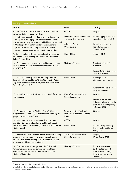| <b>Building victim confidence</b>                                                                                                                                                                                 |                                                                              |                                                                                                                |  |
|-------------------------------------------------------------------------------------------------------------------------------------------------------------------------------------------------------------------|------------------------------------------------------------------------------|----------------------------------------------------------------------------------------------------------------|--|
| <b>Action</b>                                                                                                                                                                                                     | Lead                                                                         | <b>Timing</b>                                                                                                  |  |
| 8. Use True Vision to distribute information on hate<br>crime to victims groups, including:                                                                                                                       | ACPO,                                                                        | Ongoing                                                                                                        |  |
| • an information pack on what hate crime is and how<br>to report it for Gypsy and Traveller communities;                                                                                                          | <b>Department for Communities</b><br>and Local Government,                   | Launch Gypsy & Traveller<br>materials in Spring 2012                                                           |  |
| • Awareness-raising materials to tackle Muslim hatred; and<br>• Working with voluntary sector organisations to<br>promote awareness raising materials for LGB&T,<br>asylum, refugee other new migrant communities | <b>Voluntary Sector</b><br>Organisations                                     | Launch Anti -Muslim<br>hatred materials by -<br>Summer 2012                                                    |  |
| 9. Collect and publish local examples of what works<br>in preventing and tackling hate crime for Community<br>Safety Partnerships                                                                                 | Home Office                                                                  | Autumn 2012                                                                                                    |  |
| 10. Fund nineteen organisations working with victims<br>of hate crime (£2.1 m over three years from 2011/12<br>to 2013/14) <sup>18</sup>                                                                          | Ministry of Justice                                                          | Funding for 2011/12<br>allocated                                                                               |  |
|                                                                                                                                                                                                                   |                                                                              | Further funding subject to<br>quarterly reviews                                                                |  |
| 11. Fund thirteen organisations working to tackle<br>hate crime from the Home Office Community Action<br>Against Crime Innovation Fund, over two years from<br>2011/12 to 2012/13 <sup>19</sup>                   | Home Office                                                                  | Funding for 2011/12<br>dispersed from February<br>2012                                                         |  |
|                                                                                                                                                                                                                   |                                                                              | Further funding subject to<br>progress reviews                                                                 |  |
| 12. Identify good practice from project funds for wider<br>dissemination                                                                                                                                          | <b>Cross-Government Hate</b><br>Crime Programme                              | Ongoing                                                                                                        |  |
|                                                                                                                                                                                                                   |                                                                              | Review of Victim and<br>Witness projects to identify<br>good practice examples by<br>- October 2012            |  |
| 13. Provide support for Disabled People's User Led<br>Organisations (DPULOs) to take forward a variety of<br>projects around Hate Crime                                                                           | Department for Work and<br>Pensions - Office for Disability<br><b>Issues</b> | Ongoing                                                                                                        |  |
| 14. Work with police forces, councils and housing<br>providers to improve handling of public calls about                                                                                                          | ACPO,                                                                        | Ongoing                                                                                                        |  |
| anti-social behaviour, to identify possible hate crime and<br>victims at risk                                                                                                                                     | Home Office,                                                                 | <b>Call Handling Summary</b><br>Report to be published -<br>Spring 2012                                        |  |
| 15. Work with Local Criminal Justice Boards to identify<br>opportunities for supporting projects which aim to<br>improve our understanding of the circumstances and<br>motivations of hate crime offenders        | <b>Cross-Government Hate</b><br>Crime Programme                              | Ongoing<br>(From April) 2012                                                                                   |  |
| 16. Ensure that new arrangements for Police and<br>Crime Commissioner led commissioning of local<br>services for victims take account of the needs of<br>victims of hate crime                                    | Ministry of Justice                                                          | From 2014 (subject<br>to the outcome of the<br>consultation "Getting<br>it right for victims and<br>witnesses) |  |

<sup>18</sup> See Annex B for list of organisations

<sup>19</sup> Details of the projects funded under The Community Action Against Crime Innovation Fund will be available shortly on the Home Office website.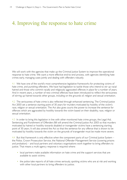### 4. Improving the response to hate crime

We will work with the agencies that make up the Criminal Justice System to improve the operational response to hate crime. We want a more effective end-to-end process, with agencies identifying hate crimes early, managing cases jointly and dealing with offenders robustly.

4.1 We have one of the world's most comprehensive legislative frameworks for protecting victims of hate crime, and punishing offenders. We have had legislation to tackle those who intend to stir up racial hatred and those who commit racially and religiously aggravated offences in place for a number of years. And in recent years, a number of new criminal offences have been introduced to reflect the seriousness of stirring up hatred towards other groups, including on the grounds of, religion and sexual orientation.

4.2 The seriousness of hate crime is also reflected through enhanced sentencing. The Criminal Justice Act 2003 set a sentence starting point of 30 years for murders motivated by hostility of the victim's race, religion or sexual orientation. The Act also gives courts the power to increase the sentence for offences which are aggravated by hostility towards the victim based on their disability, race, religion or sexual orientation.

4.3 In order to bring this legislation in line with other monitored hate crime groups, the Legal Aid, Sentencing and Punishment of Offenders Bill will amend the Criminal Justice Act 2003 so that murders motivated by hatred or hostility towards disabled or transgender victims have a sentencing starting point of 30 years. It will also amend the Act so that the sentence for any offence that is shown to be motivated by hostility towards the victim on the grounds of transgender must be made more severe.

4.4 But that framework is only effective when the component parts of our Criminal Justice System – the Police, Crown Prosecution Service, the National Offender Management Service (covering prisons and probation) – and local partners and voluntary organisations work together to bring offenders to justice. That means a multi-agency response is required where:

- local partners make available information on hate crime and the support services that are available to assist victims;
- the police take reports of all hate crimes seriously, spotting victims who are at risk and working with other local partners to bring offenders to justice;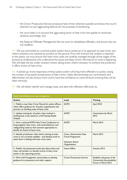- the Crown Prosecution Service prosecute hate crimes wherever possible and draws the court's attention to such aggravating features for the purposes of sentencing;
- the court takes in to account the aggravating factor of hate crime and applies an enhanced sentence accordingly; and
- the National Offender Management Service work to rehabilitate offenders, and ensure they do not reoffend.

4.5 We are committed to a criminal justice system that is joined-up in its approach to hate crime, and where ambitions are matched by practice on the ground. From the moment the incident is reported to the police, we must ensure that hate crime cases are carefully managed through all the stages of the process by professionals who understand the issues and keep victims informed as to what is happening. We will keep the law under constant review, taking action where necessary to enhance the protection it offers victims of hate crime.

4.6 A joined-up, more responsive criminal justice system will bring more offenders to justice, raising the number of successful prosecutions of hate crimes. Visibly demonstrating our commitment and effectiveness will also ensure more victims have the confidence to come forward, knowing they will be taken seriously.

| Better identification and case management                                                                                                                                                          |                                                                                               |                                                                                      |  |
|----------------------------------------------------------------------------------------------------------------------------------------------------------------------------------------------------|-----------------------------------------------------------------------------------------------|--------------------------------------------------------------------------------------|--|
| <b>Action</b>                                                                                                                                                                                      | Lead                                                                                          | <b>Timing</b>                                                                        |  |
| 1. Publish a new Hate Crime Manual for police officers,<br>which offers guidance for all police organisations and<br>partners on handling cases of hate crime                                      | <b>ACPO</b>                                                                                   | April 2012                                                                           |  |
| 2. Update training for all police roles involved in<br>tackling hate crime, based on a full Training Needs<br>Analysis                                                                             | <b>ACPO</b>                                                                                   | <b>Commission by March</b><br>2013                                                   |  |
| 3. Host a national ACPO Hate Crime Conference to<br>bring together hate crime, anti-social behaviour and<br>'safeguarding' leads to find common approaches to<br>benefit all victims of hate crime | <b>ACPO</b>                                                                                   | March 2012                                                                           |  |
| 4. Identify practitioner roles where training on hate<br>crime is not currently available - and develop tools to<br>assist them in dealing with hate crime cases                                   | <b>Cross- Government Hate</b><br>Crime Programme,<br><b>Voluntary Sector</b><br>Organisations | <b>March 2013</b>                                                                    |  |
| 5. Publish risk assessment tools that allow police and<br>other call handlers to identify victims of hate crime<br>earlier in the reporting process                                                | Home Office                                                                                   | Autumn 2012                                                                          |  |
| 6. Work with Transgender communities to develop<br>guidance for prosecutors and other support.                                                                                                     | <b>Crown Prosecution Service</b>                                                              | Establish sub-group of the<br><b>Community Accountability</b><br>Forum in March 2012 |  |

4.7 We will better identify and manage cases, and deal with offenders effectively by: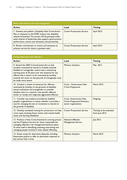| Better identification and case management                                                                                                                                                                                                                                                    |                                  |               |  |
|----------------------------------------------------------------------------------------------------------------------------------------------------------------------------------------------------------------------------------------------------------------------------------------------|----------------------------------|---------------|--|
| <b>Action</b>                                                                                                                                                                                                                                                                                | Lead                             | <b>Timing</b> |  |
| 7. Develop and publish a Disability Hate Crime Action<br>Plan, in response to the EHRC Inquiry into disability-<br>related harassment. The actions will be grouped under<br>seven themes of leadership, data, support, good practice,<br>performance, victims and witnesses, and partnership | <b>Crown Prosecution Service</b> | April 2012    |  |
| 8. Review commitment to victims and witnesses to<br>enhance service for those in greatest need                                                                                                                                                                                               | <b>Crown Prosecution Service</b> | April 2012    |  |

| Dealing effectively with offenders                                                                                                                                                                                                                                                                                                                     |                                                                                    |                                            |  |
|--------------------------------------------------------------------------------------------------------------------------------------------------------------------------------------------------------------------------------------------------------------------------------------------------------------------------------------------------------|------------------------------------------------------------------------------------|--------------------------------------------|--|
| <b>Action</b>                                                                                                                                                                                                                                                                                                                                          | Lead                                                                               | <b>Timing</b>                              |  |
| 9. Amend the 2003 Criminal Justice Act so that<br>murders motivated by hatred or hostility towards<br>disabled or transgender victims have a sentencing<br>starting point of 30 years; and -the sentence for any<br>offence that is shown to be motivated by hostility<br>towards the victim on the grounds of transgender must<br>be made more severe | Ministry of Justice                                                                | May 2012                                   |  |
| 10. Conduct a review of sentences for offences<br>motivated by hostility on the grounds of disability,<br>sexual orientation and transgender to consider<br>whether there is a need for new specific offences<br>similar to racially and religiously aggravated offences                                                                               | Cross - Government Hate<br>Crime Programme                                         | <b>March 2013</b>                          |  |
| 11. Consider any evidence provided by disabled<br>people's organisations to assess whether it provides a<br>case for changing the law on incitement to hatred on<br>the grounds of disability                                                                                                                                                          | <b>Cross- Government Hate</b><br>Crime Programme Voluntary<br>sector organisations | Ongoing                                    |  |
| 12. Develop mandated training for prosecutors on hate<br>crime cases involving those victims with mental health<br>issues and learning disabilities                                                                                                                                                                                                    | <b>Crown Prosecution Service</b>                                                   | Training to be evaluated<br>from June 2012 |  |
| 13. Produce a Hate Crime framework covering prisons<br>and the Probation Service, for those responsible for<br>managing offenders risk management/sentence plans.<br>To assist staff in identifying, assessing, intervening and<br>managing people involved in hate related offending                                                                  | <b>National Offender</b><br><b>Management Service</b>                              | July 2012                                  |  |
| 14. Assess scope for alternative disposals, including<br>Restorative Justice to offer an alternative response to<br>less serious hate crimes                                                                                                                                                                                                           | Ministry of Justice                                                                | <b>March 2013</b>                          |  |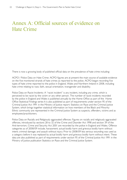### Annex A: Official sources of evidence on Hate Crime

There is now a growing body of published official data on the prevalence of hate crime including:

ACPO / Police Data on Hate Crime: ACPO figures are at present the main source of available evidence on the five monitored strands of hate crimes as reported to the police. ACPO began recording five types of hate crime reported to the police in England, Wales and Northern Ireland in 2008, including hate crime relating to race, faith, sexual orientation, transgender and disability.

Police Data on Racist Incidents: A "racist incident" is any incident, including any crime, which is perceived to be racist by the victim or any other person. The number of racist incidents recorded by the police in England and Wales is published annually by the Home Office as part of the Home Office Statistical Findings series It is also published as part of requirements under section 95 of the Criminal Justice Act 1991 in the Ministry of Justice report: Statistics on Race and the Criminal Justice System, which brings together statistical information on how members of the Black and Minority Ethnic community are represented in the Criminal Justice System as suspects, offenders, victims and as employees/practitioners.

Police Data on Racially and Religiously aggravated offences: Figures on racially and religiously aggravated offences, introduced by sections 28 to 32 of the Crime and Disorder Act 1998 and section 39 of the Anti-terrorism, Crime and Security Act 2001 are recorded by the police in England and Wales. Offence categories as of 2008/09 include, harassment; actual bodily harm and grievous bodily harm without intent; criminal damage; and assault without injury. Prior to 2008/09 less serious wounding was used as a category before it was replaced by actual bodily harm and grievous bodily harm without intent. These data are also published as part of requirements under section 95 of the Criminal Justice Act 1991 in the Ministry of Justice publication Statistics on Race and the Criminal Justice System.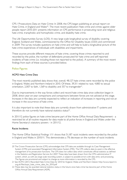CPS / Prosecutions Data on Hate Crime: In 2008, the CPS began publishing an annual report on Hate Crime, in England and Wales<sup>20</sup>. The most recent publication Hate crime and crimes against older people report 2010-2011 presents information on CPS performance in prosecuting racist and religious hate crime, transphobic and homophobic crime, and disability hate crime.

The Life Opportunities Survey (LOS): A new large scale longitudinal survey of disability covering England, Scotland and Wales, commissioned by the Office for Disability Issues (ODI) and commenced in 2009. The survey includes questions on hate crime and will help to build a longitudinal picture of the hate crime experiences of individuals with disabilities and impairments.

These sources provide different measures of hate crime, covering those crimes reported to and recorded by the police, the number of defendants prosecuted for hate crime and self-reported incidents of hate crime (i.e. including those not reported to the police). A summary of the most recent findings from each of these sources is provided below.

#### Police Figures

#### ACPO Hate Crime Data

The most recently published data shows that, overall, 48,127 hate crimes were recorded by the police in England, Wales and Northern Ireland in 2010. Of these, 39,311 related to race, 4,883 to sexual orientation, 2,007 to faith, 1,569 to disability and 357 to transgender<sup>21</sup>.

Due to improvements in the way forces collect and record hate crime data since collection began in 2008, direct year-on-year comparisons and comparisons between forces are not advised at this stage. Increases in the data are currently expected to reflect an indication of increases in reporting and not an increase in the occurrence of hate crime.

It is also important to note that these data are currently drawn from administrative IT systems and therefore do not currently have national statistics status<sup>22</sup>.

In 2011/12 police figures on hate crime became part of the Home Office Annual Data Requirement - a restricted list of all routine requests for data made to all police forces in England and Wales under the Home Secretary's statutory powers - in 2011/12.

#### Racist Incidents

The Home Office Statistical Findings 1/11 shows that 51,187 racist incidents were recorded by the police in England and Wales in 2010/11. This demonstrates a 7% decrease on the number of racist incidents

<sup>20</sup> The Crown Prosecution Service (CPS) acknowledges that CPS data are available through its Case Management System (CMS) and associated Management Information System (MIS). The CPS collects data to assist in the effective management of its prosecution functions. The CPS does not collect data which constitutes official statistics as defined in the Statistics and Registration Service Act 2007. These data have been drawn from the CPS's administrative IT system, which, as with any large scale recording system, is subject to possible errors with data entry and processing. The figures are provisional and subject to change as more information is recorded by the CPS.

<sup>21</sup> See ACPO (2011) Recorded Hate Crime Data for 2010 for England, Wales and Northern Ireland. [http://www.report-it.](http://www.report-it. 	org.uk/files/acpo_hate_crime_data_for_2010.pdf)  [org.uk/files/acpo\\_hate\\_crime\\_data\\_for\\_2010.pdf](http://www.report-it. 	org.uk/files/acpo_hate_crime_data_for_2010.pdf)

<sup>22</sup> These data may be awarded national statistics status in the future once hate crime has become part of the Home Office Annual Data Requirement (ADR).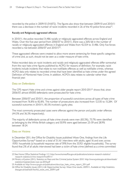recorded by the police in 2009/10 (54,872). The figures also show that between 2009/10 and 2010/11 there was a decrease in the number of racist incidents recorded in 26 of the 43 police force areas<sup>23</sup>.

#### Racially and Religiously aggravated offences

In 2010/11, the police recorded 31,486 racially or religiously aggravated offences across England and Wales. Over the five-year period from 2006/07 to 2010/11, there was a 26% fall in the number of racially or religiously aggravated offences in England and Wales from 42,554 to 31,486. Only five forces recorded a rise between 2006/07 and 2010/1124.

These aggravated offences were created to allow more severe sentencing for these specific categories of crime and, as such, should not be seen as a wider measure of hate crime.

Police recorded data on racist incidents and racially and religiously aggravated offences differ somewhat from the race hate crime figures published by ACPO, for reasons of definition. For example, racist incidents include incidents that relate to non-notifiable offences as well as notifiable crimes, whereas ACPO data only relates to recorded crimes that have been identified as hate crimes under the agreed Definition of Monitored Hate Crime. In addition, ACPO's data relates to calendar rather than financial year.

#### Data on Defendants

The CPS report Hate crime and crimes against older people report 2010-2011<sup>25</sup> shows that, since 2006/07, almost 69,000 defendants were prosecuted for hate crime.

Between 2006/07 and 2010/11, the proportion of successful convictions across all types of hate crime increased from 76.8% to 82.8%. The number of prosecutions also increased from 12,535 to 15,284. Of successful outcomes in 2010/11, 85.5% involved a guilty plea.

The most commonly prosecuted cases were offences against the person and public order offences (44.3% and 36.3% respectively).

The majority of defendants across all hate crime strands were men (83.3%), 73.7% were identified as belonging to the White British category and 50.9% were aged between 25-59 and 28.9% between 18-24.

#### Data on Victims

In December 2011, the Office for Disability Issues published Wave One, findings from the Life Opportunities Survey<sup>26</sup> based on a total of 31,161 interviews with adults, aged 16 and over, across 19,951 households (a household response rate of 59% from the 33,921 eligible households). The survey found that 2% of all adults interviewed had been a victim of hate crime (defined as a crime committed

<sup>23</sup> See Home Office Statistical Findings 1/11 [http://www.homeoffice.gov.uk/publications/science-research-statistics/](http://www.homeoffice.gov.uk/publications/science-research-statistics/		research-statistics/crime-research/hosf0111/)  [research-statistics/crime-research/hosf0111/](http://www.homeoffice.gov.uk/publications/science-research-statistics/		research-statistics/crime-research/hosf0111/)

<sup>24</sup> Ministry of Justice (2011). Statistics on Race and the Criminal Justice System 2010 [http://www.justice.gov.uk/downloads/](http://www.justice.gov.uk/downloads/statistics/mojstats/stats-race-cjs-2010.pdf) [statistics/mojstats/stats-race-cjs-2010.pdf](http://www.justice.gov.uk/downloads/statistics/mojstats/stats-race-cjs-2010.pdf)

<sup>25</sup> Available at: [http://www.cps.gov.uk/publications/docs/cps\\_hate\\_crime\\_report\\_2011.pdf](http://www.cps.gov.uk/publications/docs/cps_hate_crime_report_2011.pdf)

<sup>26</sup> Office for Disability Issues (2011) Life Opportunities Survey: Wave One results, 2009/11. Available at: http://statistics. dwp.gov.uk/asd/asd1/los/los\_wave\_one\_200911.pdf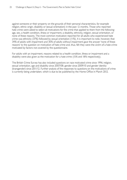against someone or their property on the grounds of their personal characteristics, for example religion, ethnic origin, disability or sexual orientation) in the past 12 months. Those who reported hate crime were asked to select all motivations for the crime that applied to them from the following: age, sex, a health condition, illness or impairment, a disability, ethnicity, religion, sexual orientation, or none of these reasons. The most common motivation reported for all adults who experienced hate crime was ethnicity (37%) followed by sexual orientation (11%). It is important to note, however, that 34% of adults with impairment and 30% of adults without impairment gave the answer 'none of these reasons' to the question on motivation of hate crime and, thus, felt they were the victim of a hate crime motivated by factors not covered by the questionnaire.

For adults with an impairment, reasons related to a health condition, illness or impairment and a disability were also given as the motivation for a hate crime (15% and 18% respectively).

The British Crime Survey has also included questions on race motivated crime since 1996; religion, sexual orientation, age and disability since 2007/08; gender since 2009/10 and gender identity (transgender) since 2011/12. Further analysis of the responses to questions on the motivations of crime is currently being undertaken, which is due to be published by the Home Office in March 2012.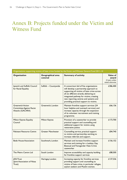### Annex B: Projects funded under the Victim and Witness Fund

| Organisations supporting victims of hate crime funded by the Victim and Witness General Fund 2011-14 |                                     |                                                                                                                                                                                                                                                                                                             |                                                          |  |
|------------------------------------------------------------------------------------------------------|-------------------------------------|-------------------------------------------------------------------------------------------------------------------------------------------------------------------------------------------------------------------------------------------------------------------------------------------------------------|----------------------------------------------------------|--|
| Organisation                                                                                         | <b>Geographical area</b><br>covered | <b>Summary of activity</b>                                                                                                                                                                                                                                                                                  | Value of<br>award<br>(3 years unless<br>stated otherwise |  |
| Ipswich and Suffolk Council<br>for Racial Equality                                                   | Suffolk ~ Countywide                | A consortium bid of five organisations<br>will develop a partnership approach to<br>supporting all victims of hate crime across<br>all six different strands, delivering an<br>integrated pathway for victims, creating<br>new reporting centres and systems and<br>providing practical support to victims. | £386,400                                                 |  |
| <b>Greenwich Action</b><br><b>Committee Against Racist</b><br>Attacks (GACARA)                       | Greenwich, London                   | Maintain frontline support services (24<br>hour helpline and outreach services) and<br>increase capacity through the expansion<br>of its volunteer recruitment and training<br>programme.                                                                                                                   | £66,136                                                  |  |
| Milton Keynes Equality<br>Council                                                                    | <b>Milton Keynes</b>                | Provision of a caseworker to provide<br>practical support and counselling and<br>additional support for victims using<br>restorative justice.                                                                                                                                                               | £173,700                                                 |  |
| Pakistani Resource Centre                                                                            | <b>Greater Manchester</b>           | Counselling service, practical support<br>to victims and partnership working to<br>increase referrals and support.                                                                                                                                                                                          | £84,740                                                  |  |
| <b>Bede House Association</b>                                                                        | Southwark, London                   | Maintain and increase frontline support<br>services and training for a Lesbian, Gay,<br>Bisexual and Transgender Hate Crime<br>caseworker                                                                                                                                                                   | £156,152                                                 |  |
| The Metro Centre Ltd                                                                                 | South London                        | Improve accessibility and capacity building<br>for frontline support services                                                                                                                                                                                                                               | £88,500                                                  |  |
| <b>JAN Trust</b><br>(Joint Association of Nissa<br>Trust)                                            | Haringey, London                    | Increasing capacity for frontline services<br>providing support and counselling to<br>victims of hate crime, in particular refugee,<br>asylum seekers and Muslim women.                                                                                                                                     | £137,536                                                 |  |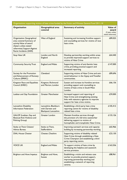| Organisations supporting victims of hate crime funded by the Victim and Witness General Fund 2011-14                                                                     |                                                                   |                                                                                                                                                                        |                                                                  |
|--------------------------------------------------------------------------------------------------------------------------------------------------------------------------|-------------------------------------------------------------------|------------------------------------------------------------------------------------------------------------------------------------------------------------------------|------------------------------------------------------------------|
| Organisation                                                                                                                                                             | Geographical area<br>covered                                      | <b>Summary of activity</b>                                                                                                                                             | <b>Value of</b><br>award<br>(3 years unless<br>stated otherwise) |
| <b>Organisation Geographical</b><br>area covered Summary of<br>activity Value of award<br>(3years unless stated<br>otherwise) Support Against<br>Racist Incidents (SARI) | West of England                                                   | Sustaining and increasing frontline support<br>and counselling services for victims of race<br>hate crime.                                                             | £89,025                                                          |
| Stop Hate UK                                                                                                                                                             | London and North<br>England                                       | Develop partnership working within areas<br>to provide improved support services to<br>victims of Hate Crime                                                           | £64,440                                                          |
| <b>Community Security Trust</b>                                                                                                                                          | <b>England and Wales</b>                                          | Supporting victims of anti-Semitic hate<br>crime, providing practical support and<br>increased reporting.                                                              | £147,000                                                         |
| Society for the Promotion<br>and Advancement of Romany<br>Culture (SPARC)                                                                                                | Cleveland                                                         | Supporting victims of Hate Crime and anti-<br>social behaviour in the Gypsy and Traveller<br>communities.                                                              | £89,696                                                          |
| Kingston Race and Equalities<br>Council (KREC)                                                                                                                           | Kingston, Richmond<br>and Merton, London                          | Sustain and increase its frontline services<br>providing support and counselling to<br>victims of hate crime in South West<br>London.                                  | £66,136                                                          |
| Lesbian and Gay Foundation                                                                                                                                               | <b>Greater Manchester</b>                                         | Increased support and reporting of<br>Hate Crime and strengthening existing<br>links with statutory agencies to improve<br>support for hate crime victims.             | £59,000                                                          |
| Lancashire Disability<br><b>Information Federation</b>                                                                                                                   | Lancashire, Blackburn<br>with Darwen and<br>Blackpool, Lancashire | Establishing a third party hate crime<br>reporting centre for victims of disability<br>related hate crime.                                                             | £105,412                                                         |
| GALOP (Lesbian, Gay and<br>Bisexual Anti-Violence and<br>Policing Group)                                                                                                 | Greater London                                                    | Maintain frontline services through<br>the provision of a full time caseworker<br>delivering support to victims of<br>homophobic and transphobic Hate Crime.           | £133,126                                                         |
| Stoke on Trent Citizens'<br>Advice Bureau                                                                                                                                | Stoke on Trent,<br>Staffordshire                                  | Improving outreach services and capacity<br>building by increasing partnership working.                                                                                | £65,966                                                          |
| <b>DIAL House Chester</b>                                                                                                                                                | Chester, Cheshire                                                 | Supporting victims of disability related<br>Hate Crime through establishing a Hate<br>Crime Champion and establishing a third<br>party reporting centre.               | £23,130                                                          |
| <b>VOICE UK</b>                                                                                                                                                          | <b>England and Wales</b>                                          | To support victims of hate crime by<br>developing the helpline and casework<br>service provision.                                                                      | £163,556                                                         |
| <b>Brighton and Hove Impetus</b>                                                                                                                                         | Brighton and Hove,<br><b>Sussex</b>                               | Establishing a victim and witness case<br>worker to provide practical support,<br>improving partnership working and<br>establishing a network of reporting<br>centres. | £88,961                                                          |